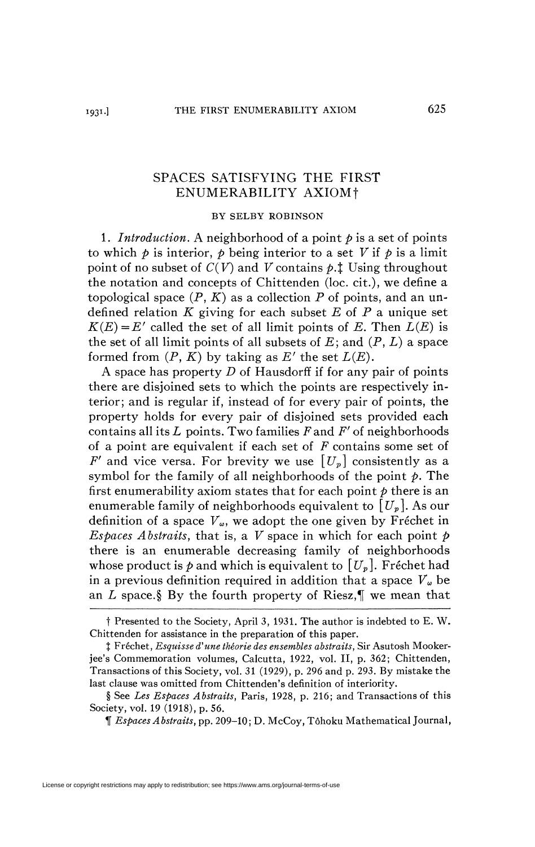## SPACES SATISFYING THE FIRST ENUMERABILITY AXIOM f

## BY SELBY ROBINSON

1. *Introduction.* A neighborhood of a point *p* is a set of points to which  $\phi$  is interior,  $\phi$  being interior to a set V if  $\phi$  is a limit point of no subset of  $C(V)$  and V contains  $\phi$ .<sup>†</sup> Using throughout the notation and concepts of Chittenden (loc. cit.), we define a topological space  $(P, K)$  as a collection  $P$  of points, and an undefined relation *K* giving for each subset *E* of P a unique set  $K(E) = E'$  called the set of all limit points of *E*. Then  $L(E)$  is the set of all limit points of all subsets of  $E$ ; and  $(P, L)$  a space formed from  $(P, K)$  by taking as  $E'$  the set  $L(E)$ .

A space has property *D* of Hausdorff if for any pair of points there are disjoined sets to which the points are respectively interior; and is regular if, instead of for every pair of points, the property holds for every pair of disjoined sets provided each contains all its *L* points. Two families Pand *F'* of neighborhoods of a point are equivalent if each set of *F* contains some set of *F'* and vice versa. For brevity we use  $[U_p]$  consistently as a symbol for the family of all neighborhoods of the point *p.* The first enumerability axiom states that for each point *p* there is an enumerable family of neighborhoods equivalent to  $[U_p]$ . As our definition of a space *Va,* we adopt the one given by Fréchet in *Espaces Abstraits,* that is, a *V* space in which for each point *p*  there is an enumerable decreasing family of neighborhoods whose product is  $p$  and which is equivalent to  $[U_p]$ . Fréchet had in a previous definition required in addition that a space  $V_{\omega}$  be an  $L$  space.§ By the fourth property of Riesz, $\P$  we mean that

If *Espaces Abstraits,* pp. 209-10; D. McCoy, Tôhoku Mathematical Journal,

t Presented to the Society, April 3, 1931. The author is indebted to E. W. Chittenden for assistance in the preparation of this paper.

J Fréchet, *Esquisse d'une théorie des ensembles abstraits,* Sir Asutosh Mookerjee's Commemoration volumes, Calcutta, 1922, vol. II, p. 362; Chittenden, Transactions of this Society, vol. 31 (1929), p. 296 and p. 293. By mistake the last clause was omitted from Chittenden's definition of interiority.

<sup>§</sup> See *Les Espaces Abstraits,* Paris, 1928, p. 216; and Transactions of this Society, vol. 19 (1918), p. 56.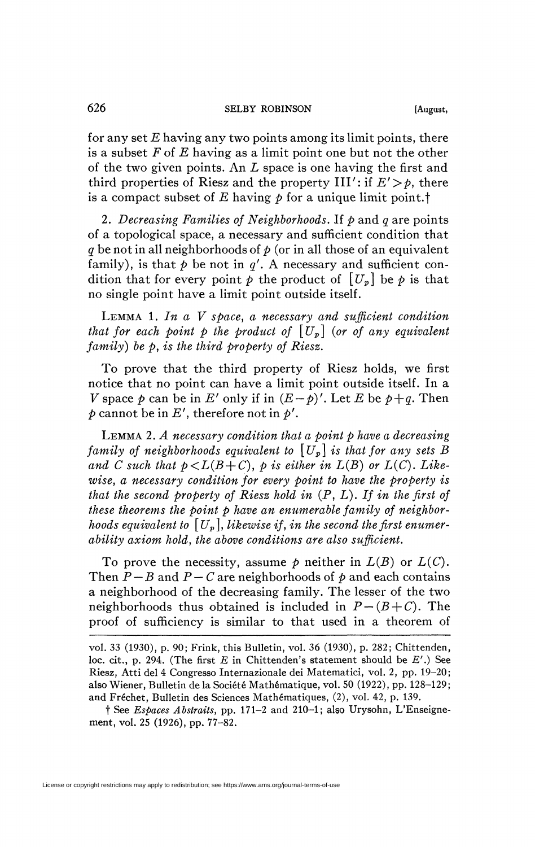for any set *E* having any two points among its limit points, there is a subset *F* of *E* having as a limit point one but not the other of the two given points. An *L* space is one having the first and third properties of Riesz and the property  $III'$ : if  $E' > \rho$ , there is a compact subset of  $E$  having  $\rho$  for a unique limit point.<sup>†</sup>

2. *Decreasing Families of Neighborhoods.* If *p* and *q* are points of a topological space, a necessary and sufficient condition that *q* be not in all neighborhoods of *p* (or in all those of an equivalent family), is that  $p$  be not in  $q'$ . A necessary and sufficient condition that for every point  $p$  the product of  $[U_p]$  be  $p$  is that no single point have a limit point outside itself.

LEMMA 1. *In a V space, a necessary and sufficient condition that for each point p the product of*  $[U_p]$  (*or of any equivalent family) be p, is the third property of Riesz.* 

To prove that the third property of Riesz holds, we first notice that no point can have a limit point outside itself. In a *V* space  $p$  can be in *E'* only if in  $(E-p)'$ . Let *E* be  $p+q$ . Then  $p$  cannot be in  $E'$ , therefore not in  $p'$ .

LEMMA 2. *A necessary condition that a point p have a decreasing family of neighborhoods equivalent to*  $[U_p]$  *is that for any sets B* and C such that  $p \leq L(B+C)$ , p is either in  $L(B)$  or  $L(C)$ . Like*wise, a necessary condition for every point to have the property is that the second property of Riesz hold in* (P, *L). If in the first of these theorems the point p have an enumerable family of neighborhoods equivalent to*  $[U_p]$ , likewise if, in the second the first enumer*ability axiom hold, the above conditions are also sufficient.* 

To prove the necessity, assume  $p$  neither in  $L(B)$  or  $L(C)$ . Then  $P - B$  and  $P - C$  are neighborhoods of  $p$  and each contains a neighborhood of the decreasing family. The lesser of the two neighborhoods thus obtained is included in  $P - (B + C)$ . The proof of sufficiency is similar to that used in a theorem of

vol. 33 (1930), p. 90; Frink, this Bulletin, vol. 36 (1930), p. 282; Chittenden, loc. cit., p. 294. (The first *E* in Chittenden's statement should be *E'*.) See Riesz, Atti del 4 Congresso Internazionale dei Matematici, vol. 2, pp. 19-20; also Wiener, Bulletin de la Société Mathématique, vol. 50 (1922), pp. 128-129; and Fréchet, Bulletin des Sciences Mathématiques, (2), vol. 42, p. 139.

t See *Espaces Abstraits,* pp. 171-2 and 210-1; also Urysohn, L'Enseignement, vol. 25 (1926), pp. 77-82.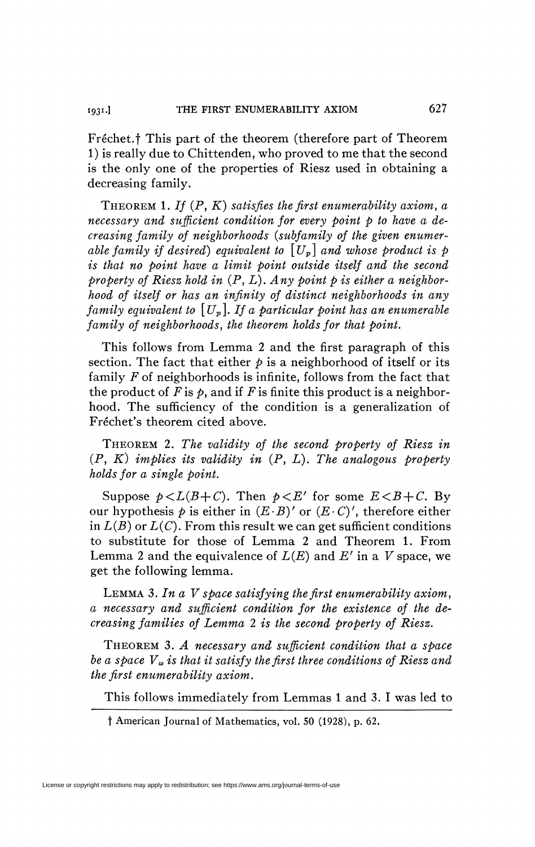Fréchet.† This part of the theorem (therefore part of Theorem 1) is really due to Chittenden, who proved to me that the second is the only one of the properties of Riesz used in obtaining a decreasing family.

THEOREM 1. *If* (P, *K) satisfies the first enumerability axiom, a necessary and sufficient condition for every point p to have a decreasing family of neighborhoods {subfamily of the given enumerable family if desired) equivalent to [Up] and whose product is p is that no point have a limit point outside itself and the second property of Riesz hold in* (P, *L). Any point p is either a neighborhood of itself or has an infinity of distinct neighborhoods in any family equivalent to [Up]. If a particular point has an enumerable family of neighborhoods, the theorem holds for that boint.* 

This follows from Lemma 2 and the first paragraph of this section. The fact that either  $\phi$  is a neighborhood of itself or its family *F* of neighborhoods is infinite, follows from the fact that the product of  $F$  is  $\phi$ , and if  $F$  is finite this product is a neighborhood. The sufficiency of the condition is a generalization of Fréchet's theorem cited above.

THEOREM 2. *The validity of the second property of Riesz in*  (P, *K) implies its validity in* (P, *L). The analogous property holds for a single point.* 

Suppose  $p < L(B+C)$ . Then  $p < E'$  for some  $E < B+C$ . By our hypothesis  $p$  is either in  $(E \cdot B)'$  or  $(E \cdot C)'$ , therefore either in  $L(B)$  or  $L(C)$ . From this result we can get sufficient conditions to substitute for those of Lemma 2 and Theorem 1. From Lemma 2 and the equivalence of *L(E)* and *E'* in a *V* space, we get the following lemma.

LEMMA *3. In a V space satisfying the first enumerability axiom, a necessary and sufficient condition for the existence of the decreasing families of Lemma 2 is the second property of Riesz.* 

THEOREM 3. *A necessary and sufficient condition that a space be a space V» is that it satisfy the first three conditions of Riesz and the first enumerability axiom.* 

This follows immediately from Lemmas 1 and 3. I was led to

t American Journal of Mathematics, vol. 50 (1928), p. 62.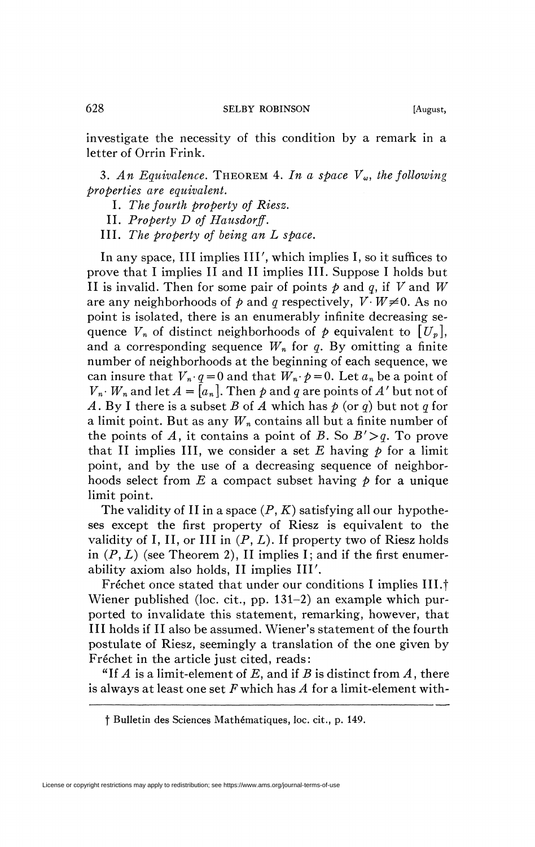investigate the necessity of this condition by a remark in a letter of Orrin Frink.

3. An Equivalence. THEOREM 4. In a space  $V_{\omega}$ , the following *properties are equivalent.* 

- I. *The fourth property of Riesz.*
- II. *Property D of Hausdorff.*
- III. *The property of being an L space.*

In any space, III implies III', which implies I, so it suffices to prove that I implies II and II implies III. Suppose I holds but II is invalid. Then for some pair of points *p* and *q,* if *V* and *W*  are any neighborhoods of  $p$  and  $q$  respectively,  $V \cdot W \neq 0$ . As no point is isolated, there is an enumerably infinite decreasing sequence  $V_n$  of distinct neighborhoods of  $p$  equivalent to  $[U_n]$ , and a corresponding sequence  $W_n$  for q. By omitting a finite number of neighborhoods at the beginning of each sequence, we can insure that  $V_n$   $q = 0$  and that  $W_n$   $p = 0$ . Let  $a_n$  be a point of  $V_n$ *· W<sub>n</sub>* and let  $A = [a_n]$ . Then p and q are points of A' but not of *A.* By I there is a subset *B* of *A* which has *p* (or *q)* but not *q* for a limit point. But as any *Wn* contains all but a finite number of the points of A, it contains a point of B. So  $B' > q$ . To prove that II implies III, we consider a set  $E$  having  $p$  for a limit point, and by the use of a decreasing sequence of neighborhoods select from  $E$  a compact subset having  $\phi$  for a unique limit point.

The validity of II in a space  $(P, K)$  satisfying all our hypotheses except the first property of Riesz is equivalent to the validity of I, II, or III in  $(P, L)$ . If property two of Riesz holds in  $(P, L)$  (see Theorem 2), II implies I; and if the first enumerability axiom also holds, II implies III'.

Fréchet once stated that under our conditions I implies III.<sup>†</sup> Wiener published (loc. cit., pp. 131-2) an example which purported to invalidate this statement, remarking, however, that III holds if II also be assumed. Wiener's statement of the fourth postulate of Riesz, seemingly a translation of the one given by Fréchet in the article just cited, reads:

"If  $A$  is a limit-element of  $E$ , and if  $B$  is distinct from  $A$ , there is always at least one set *F* which has *A* for a limit-element with-

f Bulletin des Sciences Mathématiques, loc. cit., p. 149.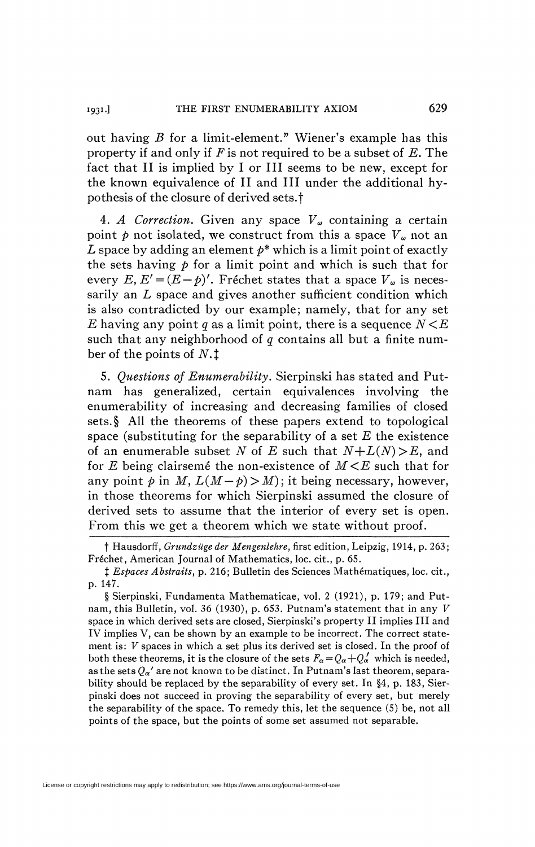out having *B* for a limit-element." Wiener's example has this property if and only if *F* is not required to be a subset of *E.* The fact that II is implied by I or III seems to be new, except for the known equivalence of II and III under the additional hypothesis of the closure of derived sets.<sup>†</sup>

4. A Correction. Given any space  $V_{\omega}$  containing a certain point  $p$  not isolated, we construct from this a space  $V_\omega$  not an *L* space by adding an element  $p^*$  which is a limit point of exactly the sets having  $p$  for a limit point and which is such that for every  $E, E' = (E - p)'$ . Fréchet states that a space  $V_{\omega}$  is necessarily an *L* space and gives another sufficient condition which is also contradicted by our example; namely, that for any set *E* having any point q as a limit point, there is a sequence  $N \leq E$ such that any neighborhood of *q* contains all but a finite number of the points of *N. t* 

5. Questions of Enumerability. Sierpinski has stated and Putnam has generalized, certain equivalences involving the enumerability of increasing and decreasing families of closed sets.§ All the theorems of these papers extend to topological space (substituting for the separability of a set *E* the existence of an enumerable subset *N* of *E* such that *N+L(N)>E,* and for *E* being clairsemé the non-existence of *M <E* such that for any point  $p$  in M,  $L(M-p) > M$ ); it being necessary, however, in those theorems for which Sierpinski assumed the closure of derived sets to assume that the interior of every set is open. From this we get a theorem which we state without proof.

I 93<sup>1</sup>

f Hausdorff, *Grundzüge der Mengenlehre,* first edition, Leipzig, 1914, p. 263; Fréchet, American Journal of Mathematics, loc. cit., p. 65.

t *Espaces Abstraits,* p. 216; Bulletin des Sciences Mathématiques, loc. cit., p. 147.

<sup>§</sup> Sierpinski, Fundamenta Mathematicae, vol. 2 (1921), p. 179; and Putnam, this Bulletin, vol. *36* (1930), p. 653. Putnam's statement that in any *V*  space in which derived sets are closed, Sierpinski's property II implies III and IV implies V, can be shown by an example to be incorrect. The correct statement is: *V* spaces in which a set plus its derived set is closed. In the proof of both these theorems, it is the closure of the sets  $F_{\alpha} = Q_{\alpha} + Q_{\alpha}'$  which is needed, as the sets  $Q_{\alpha}$ <sup>'</sup> are not known to be distinct. In Putnam's last theorem, separability should be replaced by the separability of every set. In §4, p. 183, Sierpinski does not succeed in proving the separability of every set, but merely the separability of the space. To remedy this, let the sequence (5) be, not all points of the space, but the points of some set assumed not separable.